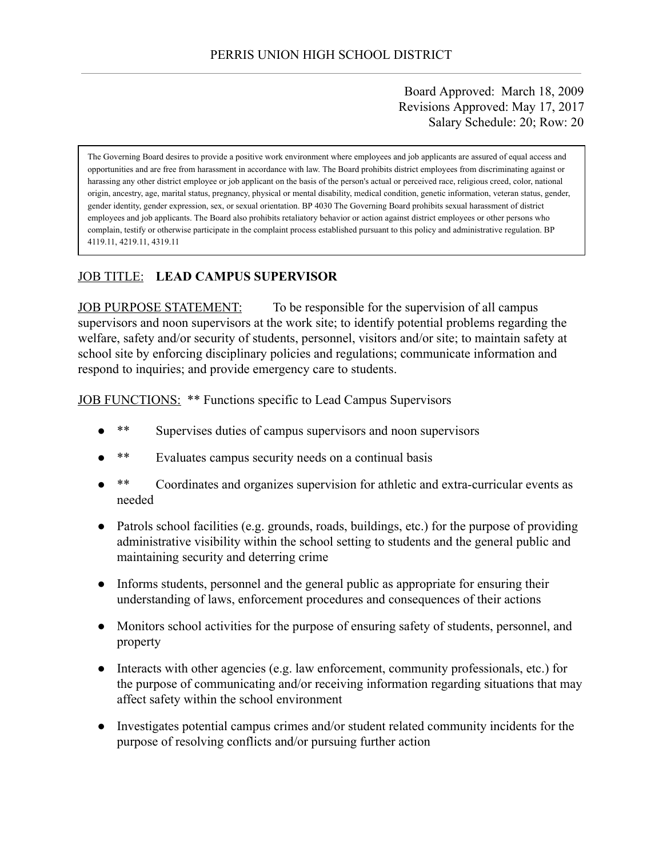Board Approved: March 18, 2009 Revisions Approved: May 17, 2017 Salary Schedule: 20; Row: 20

The Governing Board desires to provide a positive work environment where employees and job applicants are assured of equal access and opportunities and are free from harassment in accordance with law. The Board prohibits district employees from discriminating against or harassing any other district employee or job applicant on the basis of the person's actual or perceived race, religious creed, color, national origin, ancestry, age, marital status, pregnancy, physical or mental disability, medical condition, genetic information, veteran status, gender, gender identity, gender expression, sex, or sexual orientation. BP 4030 The Governing Board prohibits sexual harassment of district employees and job applicants. The Board also prohibits retaliatory behavior or action against district employees or other persons who complain, testify or otherwise participate in the complaint process established pursuant to this policy and administrative regulation. BP 4119.11, 4219.11, 4319.11

# JOB TITLE: **LEAD CAMPUS SUPERVISOR**

JOB PURPOSE STATEMENT: To be responsible for the supervision of all campus supervisors and noon supervisors at the work site; to identify potential problems regarding the welfare, safety and/or security of students, personnel, visitors and/or site; to maintain safety at school site by enforcing disciplinary policies and regulations; communicate information and respond to inquiries; and provide emergency care to students.

JOB FUNCTIONS: \*\* Functions specific to Lead Campus Supervisors

- Supervises duties of campus supervisors and noon supervisors
- \*\* Evaluates campus security needs on a continual basis
- \*\* Coordinates and organizes supervision for athletic and extra-curricular events as needed
- Patrols school facilities (e.g. grounds, roads, buildings, etc.) for the purpose of providing administrative visibility within the school setting to students and the general public and maintaining security and deterring crime
- Informs students, personnel and the general public as appropriate for ensuring their understanding of laws, enforcement procedures and consequences of their actions
- Monitors school activities for the purpose of ensuring safety of students, personnel, and property
- Interacts with other agencies (e.g. law enforcement, community professionals, etc.) for the purpose of communicating and/or receiving information regarding situations that may affect safety within the school environment
- Investigates potential campus crimes and/or student related community incidents for the purpose of resolving conflicts and/or pursuing further action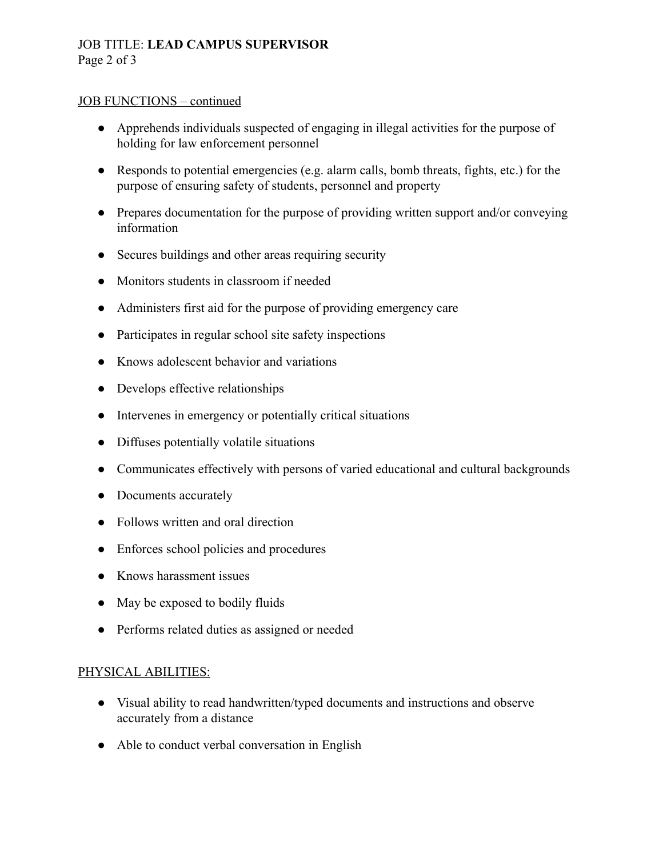# JOB TITLE: **LEAD CAMPUS SUPERVISOR** Page 2 of 3

#### JOB FUNCTIONS – continued

- Apprehends individuals suspected of engaging in illegal activities for the purpose of holding for law enforcement personnel
- Responds to potential emergencies (e.g. alarm calls, bomb threats, fights, etc.) for the purpose of ensuring safety of students, personnel and property
- Prepares documentation for the purpose of providing written support and/or conveying information
- Secures buildings and other areas requiring security
- Monitors students in classroom if needed
- Administers first aid for the purpose of providing emergency care
- Participates in regular school site safety inspections
- Knows adolescent behavior and variations
- Develops effective relationships
- Intervenes in emergency or potentially critical situations
- Diffuses potentially volatile situations
- Communicates effectively with persons of varied educational and cultural backgrounds
- Documents accurately
- Follows written and oral direction
- Enforces school policies and procedures
- Knows harassment issues
- May be exposed to bodily fluids
- Performs related duties as assigned or needed

# PHYSICAL ABILITIES:

- Visual ability to read handwritten/typed documents and instructions and observe accurately from a distance
- Able to conduct verbal conversation in English